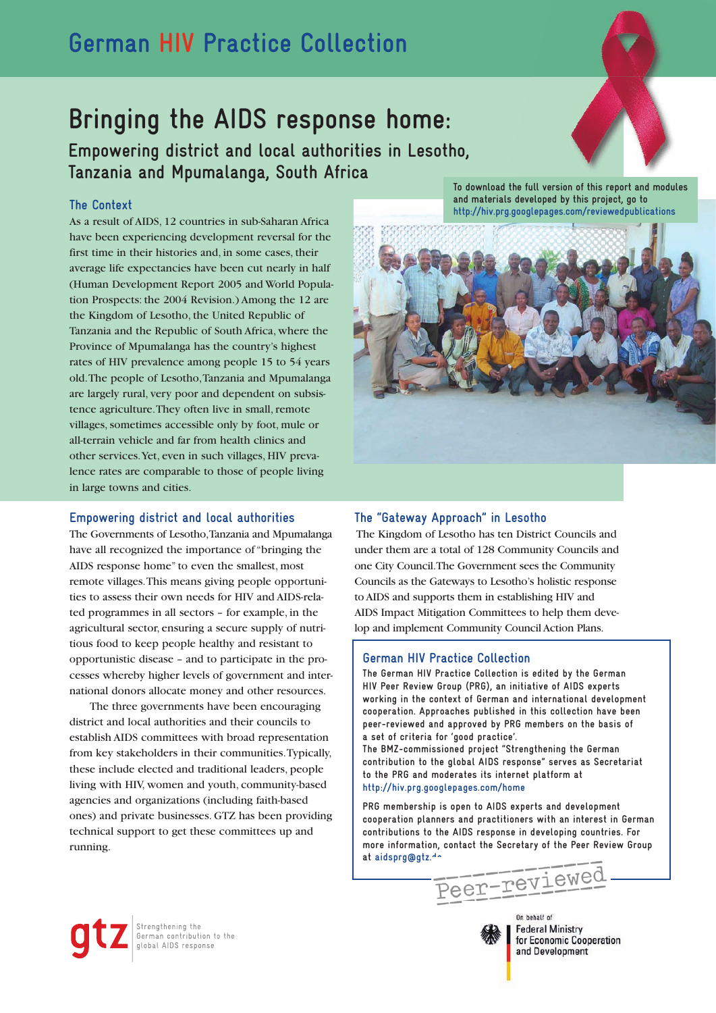## **German HIV Practice Collection**

# **Bringing the AIDS response home:**

**Empowering district and local authorities in Lesotho, Tanzania and Mpumalanga, South Africa**

### **The Context**

As a result of AIDS, 12 countries in sub-Saharan Africa have been experiencing development reversal for the first time in their histories and, in some cases, their average life expectancies have been cut nearly in half (Human Development Report 2005 and World Population Prospects: the 2004 Revision.) Among the 12 are the Kingdom of Lesotho, the United Republic of Tanzania and the Republic of South Africa, where the Province of Mpumalanga has the country's highest rates of HIV prevalence among people 15 to 54 years old. The people of Lesotho, Tanzania and Mpumalanga are largely rural, very poor and dependent on subsistence agriculture. They often live in small, remote villages, sometimes accessible only by foot, mule or all-terrain vehicle and far from health clinics and other services. Yet, even in such villages, HIV prevalence rates are comparable to those of people living in large towns and cities.

#### **Empowering district and local authorities**

The Governments of Lesotho, Tanzania and Mpumalanga have all recognized the importance of "bringing the AIDS response home" to even the smallest, most remote villages. This means giving people opportunities to assess their own needs for HIV and AIDS-related programmes in all sectors – for example, in the agricultural sector, ensuring a secure supply of nutritious food to keep people healthy and resistant to opportunistic disease – and to participate in the processes whereby higher levels of government and international donors allocate money and other resources.

The three governments have been encouraging district and local authorities and their councils to establish AIDS committees with broad representation from key stakeholders in their communities. Typically, these include elected and traditional leaders, people living with HIV, women and youth, community-based agencies and organizations (including faith-based ones) and private businesses. GTZ has been providing technical support to get these committees up and running.

**To download the full version of this report and modules and materials developed by this project, go to http://hiv.prg.googlepages.com/reviewedpublications**



#### **The "Gateway Approach" in Lesotho**

 The Kingdom of Lesotho has ten District Councils and under them are a total of 128 Community Councils and one City Council. The Government sees the Community Councils as the Gateways to Lesotho's holistic response to AIDS and supports them in establishing HIV and AIDS Impact Mitigation Committees to help them develop and implement Community Council Action Plans.

#### **German HIV Practice Collection**

**The German HIV Practice Collection is edited by the German HIV Peer Review Group (PRG), an initiative of AIDS experts working in the context of German and international development cooperation. Approaches published in this collection have been peer-reviewed and approved by PRG members on the basis of a set of criteria for 'good practice'.**

**The BMZ-commissioned project "Strengthening the German contribution to the global AIDS response" serves as Secretariat to the PRG and moderates its internet platform at http://hiv.prg.googlepages.com/home**

**PRG membership is open to AIDS experts and development cooperation planners and practitioners with an interest in German contributions to the AIDS response in developing countries. For more information, contact the Secretary of the Peer Review Group**

at aidsprg@gtz.<sup>1</sup><br>
Peer-reviewed

On hebalf of



**Federal Ministry** for Economic Cooperation and Development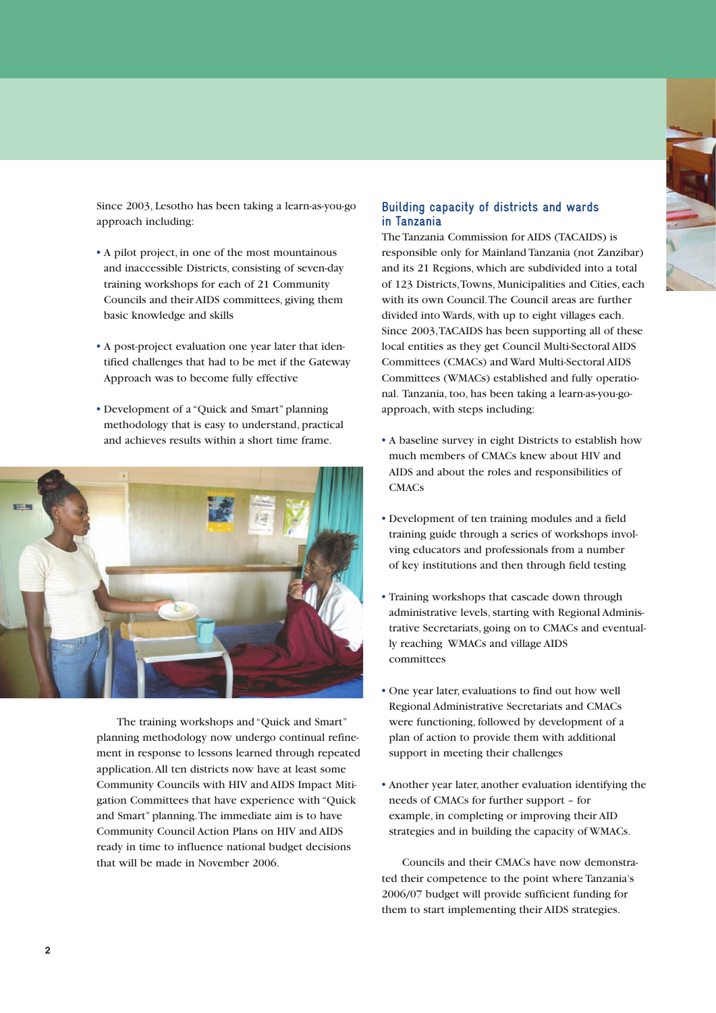

Since 2003, Lesotho has been taking a learn-as-you-go approach including:

- A pilot project, in one of the most mountainous and inaccessible Districts, consisting of seven-day training workshops for each of 21 Community Councils and their AIDS committees, giving them basic knowledge and skills
- A post-project evaluation one year later that identified challenges that had to be met if the Gateway Approach was to become fully effective
- Development of a "Quick and Smart" planning methodology that is easy to understand, practical and achieves results within a short time frame.



The training workshops and "Quick and Smart" planning methodology now undergo continual refinement in response to lessons learned through repeated application. All ten districts now have at least some Community Councils with HIV and AIDS Impact Mitigation Committees that have experience with "Quick" and Smart" planning. The immediate aim is to have Community Council Action Plans on HIV and AIDS ready in time to influence national budget decisions that will be made in November 2006.

#### **Building capacity of districts and wards in Tanzania**

The Tanzania Commission for AIDS (TACAIDS) is responsible only for Mainland Tanzania (not Zanzibar) and its 21 Regions, which are subdivided into a total of 123 Districts, Towns, Municipalities and Cities, each with its own Council. The Council areas are further divided into Wards, with up to eight villages each. Since 2003, TACAIDS has been supporting all of these local entities as they get Council Multi-Sectoral AIDS Committees (CMACs) and Ward Multi-Sectoral AIDS Committees (WMACs) established and fully operational. Tanzania, too, has been taking a learn-as-you-goapproach, with steps including:

- A baseline survey in eight Districts to establish how much members of CMACs knew about HIV and AIDS and about the roles and responsibilities of **CMACs**
- Development of ten training modules and a field training guide through a series of workshops involving educators and professionals from a number of key institutions and then through field testing
- Training workshops that cascade down through administrative levels, starting with Regional Administrative Secretariats, going on to CMACs and eventually reaching WMACs and village AIDS committees
- One year later, evaluations to find out how well Regional Administrative Secretariats and CMACs were functioning, followed by development of a plan of action to provide them with additional support in meeting their challenges
- Another year later, another evaluation identifying the needs of CMACs for further support – for example, in completing or improving their AID strategies and in building the capacity of WMACs.

Councils and their CMACs have now demonstrated their competence to the point where Tanzania's 2006/07 budget will provide sufficient funding for them to start implementing their AIDS strategies.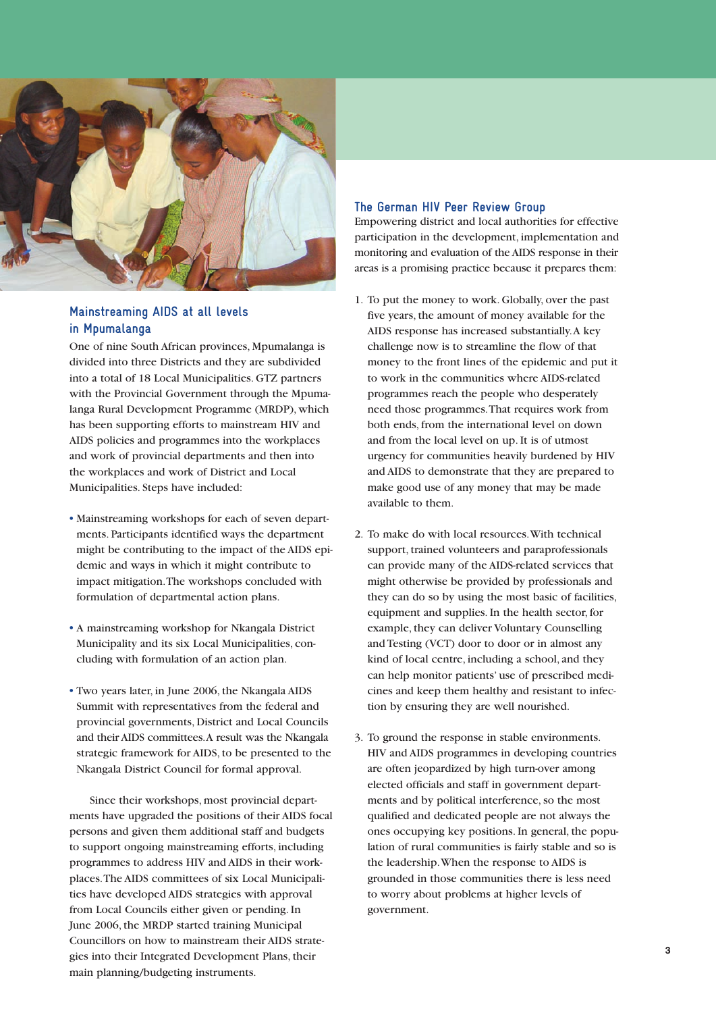

### **Mainstreaming AIDS at all levels in Mpumalanga**

One of nine South African provinces, Mpumalanga is divided into three Districts and they are subdivided into a total of 18 Local Municipalities. GTZ partners with the Provincial Government through the Mpumalanga Rural Development Programme (MRDP), which has been supporting efforts to mainstream HIV and AIDS policies and programmes into the workplaces and work of provincial departments and then into the workplaces and work of District and Local Municipalities. Steps have included:

- Mainstreaming workshops for each of seven departments. Participants identified ways the department might be contributing to the impact of the AIDS epidemic and ways in which it might contribute to impact mitigation. The workshops concluded with formulation of departmental action plans.
- A mainstreaming workshop for Nkangala District Municipality and its six Local Municipalities, concluding with formulation of an action plan.
- Two years later, in June 2006, the Nkangala AIDS Summit with representatives from the federal and provincial governments, District and Local Councils and their AIDS committees. A result was the Nkangala strategic framework for AIDS, to be presented to the Nkangala District Council for formal approval.

Since their workshops, most provincial departments have upgraded the positions of their AIDS focal persons and given them additional staff and budgets to support ongoing mainstreaming efforts, including programmes to address HIV and AIDS in their workplaces. The AIDS committees of six Local Municipalities have developed AIDS strategies with approval from Local Councils either given or pending. In June 2006, the MRDP started training Municipal Councillors on how to mainstream their AIDS strategies into their Integrated Development Plans, their main planning/budgeting instruments.

#### **The German HIV Peer Review Group**

Empowering district and local authorities for effective participation in the development, implementation and monitoring and evaluation of the AIDS response in their areas is a promising practice because it prepares them:

- 1. To put the money to work. Globally, over the past five years, the amount of money available for the AIDS response has increased substantially. A key challenge now is to streamline the flow of that money to the front lines of the epidemic and put it to work in the communities where AIDS-related programmes reach the people who desperately need those programmes. That requires work from both ends, from the international level on down and from the local level on up. It is of utmost urgency for communities heavily burdened by HIV and AIDS to demonstrate that they are prepared to make good use of any money that may be made available to them.
- 2. To make do with local resources. With technical support, trained volunteers and paraprofessionals can provide many of the AIDS-related services that might otherwise be provided by professionals and they can do so by using the most basic of facilities, equipment and supplies. In the health sector, for example, they can deliver Voluntary Counselling and Testing (VCT) door to door or in almost any kind of local centre, including a school, and they can help monitor patients' use of prescribed medicines and keep them healthy and resistant to infection by ensuring they are well nourished.
- 3. To ground the response in stable environments. HIV and AIDS programmes in developing countries are often jeopardized by high turn-over among elected officials and staff in government departments and by political interference, so the most qualified and dedicated people are not always the ones occupying key positions. In general, the population of rural communities is fairly stable and so is the leadership. When the response to AIDS is grounded in those communities there is less need to worry about problems at higher levels of government.